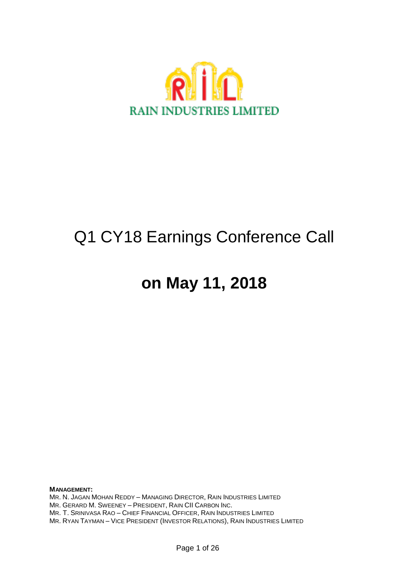

## Q1 CY18 Earnings Conference Call

## **on May 11, 2018**

**MANAGEMENT:** MR. N. JAGAN MOHAN REDDY – MANAGING DIRECTOR, RAIN INDUSTRIES LIMITED MR. GERARD M. SWEENEY – PRESIDENT, RAIN CII CARBON INC. MR. T. SRINIVASA RAO – CHIEF FINANCIAL OFFICER, RAIN INDUSTRIES LIMITED MR. RYAN TAYMAN – VICE PRESIDENT (INVESTOR RELATIONS), RAIN INDUSTRIES LIMITED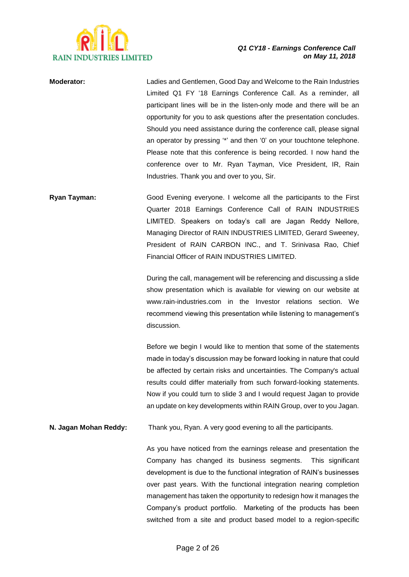

**Moderator:** Ladies and Gentlemen, Good Day and Welcome to the Rain Industries Limited Q1 FY '18 Earnings Conference Call. As a reminder, all participant lines will be in the listen-only mode and there will be an opportunity for you to ask questions after the presentation concludes. Should you need assistance during the conference call, please signal an operator by pressing '\*' and then '0' on your touchtone telephone. Please note that this conference is being recorded. I now hand the conference over to Mr. Ryan Tayman, Vice President, IR, Rain Industries. Thank you and over to you, Sir.

**Ryan Tayman:** Good Evening everyone. I welcome all the participants to the First Quarter 2018 Earnings Conference Call of RAIN INDUSTRIES LIMITED. Speakers on today's call are Jagan Reddy Nellore, Managing Director of RAIN INDUSTRIES LIMITED, Gerard Sweeney, President of RAIN CARBON INC., and T. Srinivasa Rao, Chief Financial Officer of RAIN INDUSTRIES LIMITED.

> During the call, management will be referencing and discussing a slide show presentation which is available for viewing on our website at www.rain-industries.com in the Investor relations section. We recommend viewing this presentation while listening to management's discussion.

> Before we begin I would like to mention that some of the statements made in today's discussion may be forward looking in nature that could be affected by certain risks and uncertainties. The Company's actual results could differ materially from such forward-looking statements. Now if you could turn to slide 3 and I would request Jagan to provide an update on key developments within RAIN Group, over to you Jagan.

**N. Jagan Mohan Reddy:** Thank you, Ryan. A very good evening to all the participants.

As you have noticed from the earnings release and presentation the Company has changed its business segments. This significant development is due to the functional integration of RAIN's businesses over past years. With the functional integration nearing completion management has taken the opportunity to redesign how it manages the Company's product portfolio. Marketing of the products has been switched from a site and product based model to a region-specific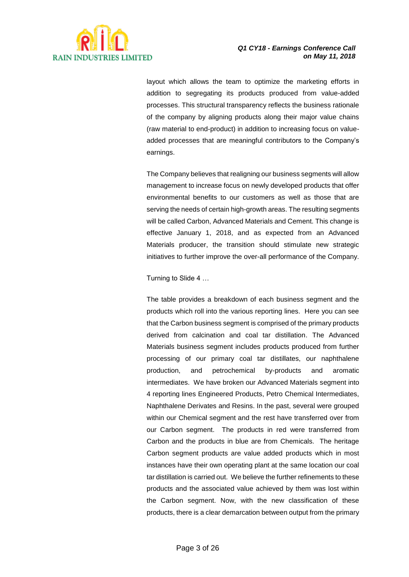

layout which allows the team to optimize the marketing efforts in addition to segregating its products produced from value-added processes. This structural transparency reflects the business rationale of the company by aligning products along their major value chains (raw material to end-product) in addition to increasing focus on valueadded processes that are meaningful contributors to the Company's earnings.

The Company believes that realigning our business segments will allow management to increase focus on newly developed products that offer environmental benefits to our customers as well as those that are serving the needs of certain high-growth areas. The resulting segments will be called Carbon, Advanced Materials and Cement. This change is effective January 1, 2018, and as expected from an Advanced Materials producer, the transition should stimulate new strategic initiatives to further improve the over-all performance of the Company.

Turning to Slide 4 …

The table provides a breakdown of each business segment and the products which roll into the various reporting lines. Here you can see that the Carbon business segment is comprised of the primary products derived from calcination and coal tar distillation. The Advanced Materials business segment includes products produced from further processing of our primary coal tar distillates, our naphthalene production, and petrochemical by-products and aromatic intermediates. We have broken our Advanced Materials segment into 4 reporting lines Engineered Products, Petro Chemical Intermediates, Naphthalene Derivates and Resins. In the past, several were grouped within our Chemical segment and the rest have transferred over from our Carbon segment. The products in red were transferred from Carbon and the products in blue are from Chemicals. The heritage Carbon segment products are value added products which in most instances have their own operating plant at the same location our coal tar distillation is carried out. We believe the further refinements to these products and the associated value achieved by them was lost within the Carbon segment. Now, with the new classification of these products, there is a clear demarcation between output from the primary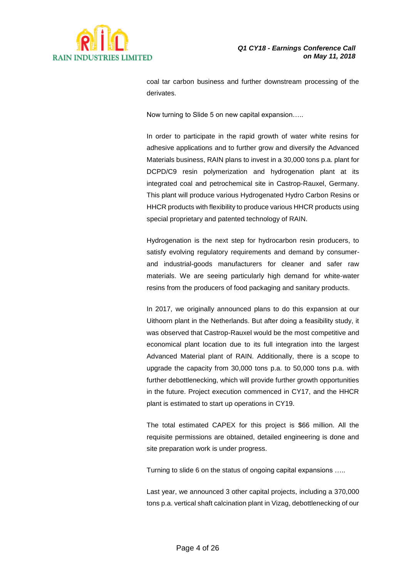

coal tar carbon business and further downstream processing of the derivates.

Now turning to Slide 5 on new capital expansion…..

In order to participate in the rapid growth of water white resins for adhesive applications and to further grow and diversify the Advanced Materials business, RAIN plans to invest in a 30,000 tons p.a. plant for DCPD/C9 resin polymerization and hydrogenation plant at its integrated coal and petrochemical site in Castrop-Rauxel, Germany. This plant will produce various Hydrogenated Hydro Carbon Resins or HHCR products with flexibility to produce various HHCR products using special proprietary and patented technology of RAIN.

Hydrogenation is the next step for hydrocarbon resin producers, to satisfy evolving regulatory requirements and demand by consumerand industrial-goods manufacturers for cleaner and safer raw materials. We are seeing particularly high demand for white-water resins from the producers of food packaging and sanitary products.

In 2017, we originally announced plans to do this expansion at our Uithoorn plant in the Netherlands. But after doing a feasibility study, it was observed that Castrop-Rauxel would be the most competitive and economical plant location due to its full integration into the largest Advanced Material plant of RAIN. Additionally, there is a scope to upgrade the capacity from 30,000 tons p.a. to 50,000 tons p.a. with further debottlenecking, which will provide further growth opportunities in the future. Project execution commenced in CY17, and the HHCR plant is estimated to start up operations in CY19.

The total estimated CAPEX for this project is \$66 million. All the requisite permissions are obtained, detailed engineering is done and site preparation work is under progress.

Turning to slide 6 on the status of ongoing capital expansions …..

Last year, we announced 3 other capital projects, including a 370,000 tons p.a. vertical shaft calcination plant in Vizag, debottlenecking of our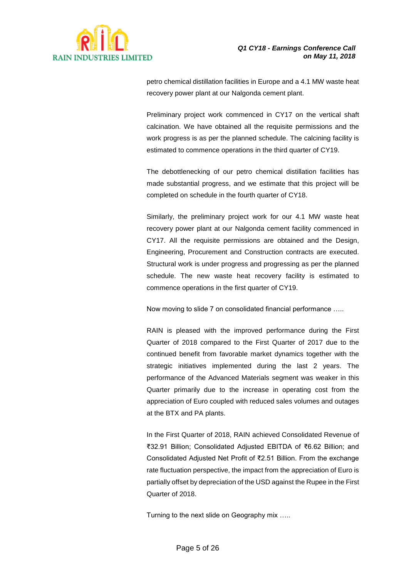

petro chemical distillation facilities in Europe and a 4.1 MW waste heat recovery power plant at our Nalgonda cement plant.

Preliminary project work commenced in CY17 on the vertical shaft calcination. We have obtained all the requisite permissions and the work progress is as per the planned schedule. The calcining facility is estimated to commence operations in the third quarter of CY19.

The debottlenecking of our petro chemical distillation facilities has made substantial progress, and we estimate that this project will be completed on schedule in the fourth quarter of CY18.

Similarly, the preliminary project work for our 4.1 MW waste heat recovery power plant at our Nalgonda cement facility commenced in CY17. All the requisite permissions are obtained and the Design, Engineering, Procurement and Construction contracts are executed. Structural work is under progress and progressing as per the planned schedule. The new waste heat recovery facility is estimated to commence operations in the first quarter of CY19.

Now moving to slide 7 on consolidated financial performance …..

RAIN is pleased with the improved performance during the First Quarter of 2018 compared to the First Quarter of 2017 due to the continued benefit from favorable market dynamics together with the strategic initiatives implemented during the last 2 years. The performance of the Advanced Materials segment was weaker in this Quarter primarily due to the increase in operating cost from the appreciation of Euro coupled with reduced sales volumes and outages at the BTX and PA plants.

In the First Quarter of 2018, RAIN achieved Consolidated Revenue of ₹32.91 Billion; Consolidated Adjusted EBITDA of ₹6.62 Billion; and Consolidated Adjusted Net Profit of ₹2.51 Billion. From the exchange rate fluctuation perspective, the impact from the appreciation of Euro is partially offset by depreciation of the USD against the Rupee in the First Quarter of 2018.

Turning to the next slide on Geography mix …..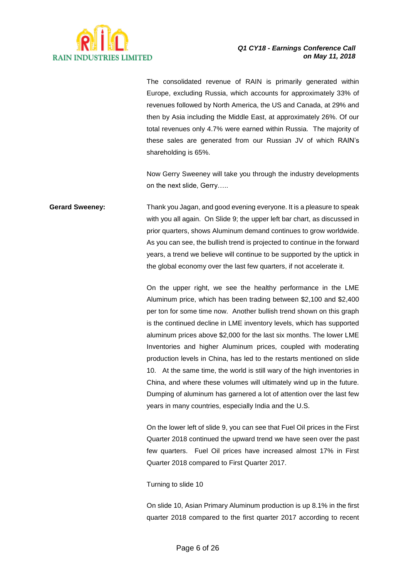

The consolidated revenue of RAIN is primarily generated within Europe, excluding Russia, which accounts for approximately 33% of revenues followed by North America, the US and Canada, at 29% and then by Asia including the Middle East, at approximately 26%. Of our total revenues only 4.7% were earned within Russia. The majority of these sales are generated from our Russian JV of which RAIN's shareholding is 65%.

Now Gerry Sweeney will take you through the industry developments on the next slide, Gerry…..

**Gerard Sweeney:** Thank you Jagan, and good evening everyone. It is a pleasure to speak with you all again. On Slide 9; the upper left bar chart, as discussed in prior quarters, shows Aluminum demand continues to grow worldwide. As you can see, the bullish trend is projected to continue in the forward years, a trend we believe will continue to be supported by the uptick in the global economy over the last few quarters, if not accelerate it.

> On the upper right, we see the healthy performance in the LME Aluminum price, which has been trading between \$2,100 and \$2,400 per ton for some time now. Another bullish trend shown on this graph is the continued decline in LME inventory levels, which has supported aluminum prices above \$2,000 for the last six months. The lower LME Inventories and higher Aluminum prices, coupled with moderating production levels in China, has led to the restarts mentioned on slide 10. At the same time, the world is still wary of the high inventories in China, and where these volumes will ultimately wind up in the future. Dumping of aluminum has garnered a lot of attention over the last few years in many countries, especially India and the U.S.

> On the lower left of slide 9, you can see that Fuel Oil prices in the First Quarter 2018 continued the upward trend we have seen over the past few quarters. Fuel Oil prices have increased almost 17% in First Quarter 2018 compared to First Quarter 2017.

Turning to slide 10

On slide 10, Asian Primary Aluminum production is up 8.1% in the first quarter 2018 compared to the first quarter 2017 according to recent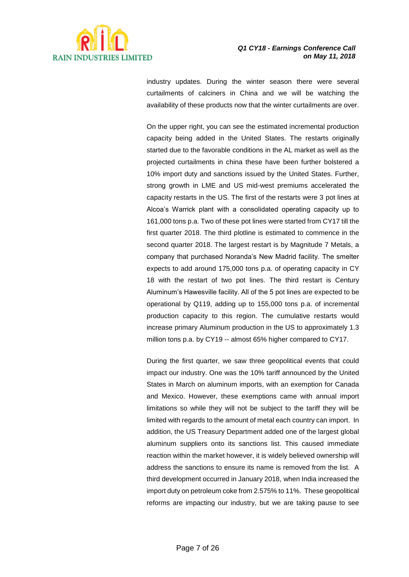

industry updates. During the winter season there were several curtailments of calciners in China and we will be watching the availability of these products now that the winter curtailments are over.

On the upper right, you can see the estimated incremental production capacity being added in the United States. The restarts originally started due to the favorable conditions in the AL market as well as the projected curtailments in china these have been further bolstered a 10% import duty and sanctions issued by the United States. Further, strong growth in LME and US mid-west premiums accelerated the capacity restarts in the US. The first of the restarts were 3 pot lines at Alcoa's Warrick plant with a consolidated operating capacity up to 161,000 tons p.a. Two of these pot lines were started from CY17 till the first quarter 2018. The third plotline is estimated to commence in the second quarter 2018. The largest restart is by Magnitude 7 Metals, a company that purchased Noranda's New Madrid facility. The smelter expects to add around 175,000 tons p.a. of operating capacity in CY 18 with the restart of two pot lines. The third restart is Century Aluminum's Hawesville facility. All of the 5 pot lines are expected to be operational by Q119, adding up to 155,000 tons p.a. of incremental production capacity to this region. The cumulative restarts would increase primary Aluminum production in the US to approximately 1.3 million tons p.a. by CY19 -- almost 65% higher compared to CY17.

During the first quarter, we saw three geopolitical events that could impact our industry. One was the 10% tariff announced by the United States in March on aluminum imports, with an exemption for Canada and Mexico. However, these exemptions came with annual import limitations so while they will not be subject to the tariff they will be limited with regards to the amount of metal each country can import. In addition, the US Treasury Department added one of the largest global aluminum suppliers onto its sanctions list. This caused immediate reaction within the market however, it is widely believed ownership will address the sanctions to ensure its name is removed from the list. A third development occurred in January 2018, when India increased the import duty on petroleum coke from 2.575% to 11%. These geopolitical reforms are impacting our industry, but we are taking pause to see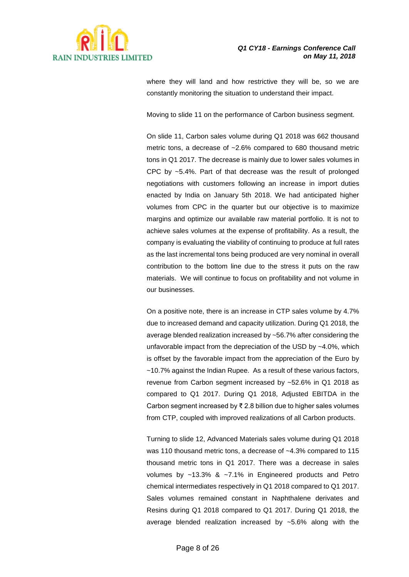

where they will land and how restrictive they will be, so we are constantly monitoring the situation to understand their impact.

Moving to slide 11 on the performance of Carbon business segment.

On slide 11, Carbon sales volume during Q1 2018 was 662 thousand metric tons, a decrease of ~2.6% compared to 680 thousand metric tons in Q1 2017. The decrease is mainly due to lower sales volumes in CPC by ~5.4%. Part of that decrease was the result of prolonged negotiations with customers following an increase in import duties enacted by India on January 5th 2018. We had anticipated higher volumes from CPC in the quarter but our objective is to maximize margins and optimize our available raw material portfolio. It is not to achieve sales volumes at the expense of profitability. As a result, the company is evaluating the viability of continuing to produce at full rates as the last incremental tons being produced are very nominal in overall contribution to the bottom line due to the stress it puts on the raw materials. We will continue to focus on profitability and not volume in our businesses.

On a positive note, there is an increase in CTP sales volume by 4.7% due to increased demand and capacity utilization. During Q1 2018, the average blended realization increased by ~56.7% after considering the unfavorable impact from the depreciation of the USD by ~4.0%, which is offset by the favorable impact from the appreciation of the Euro by ~10.7% against the Indian Rupee. As a result of these various factors, revenue from Carbon segment increased by ~52.6% in Q1 2018 as compared to Q1 2017. During Q1 2018, Adjusted EBITDA in the Carbon segment increased by ₹ 2.8 billion due to higher sales volumes from CTP, coupled with improved realizations of all Carbon products.

Turning to slide 12, Advanced Materials sales volume during Q1 2018 was 110 thousand metric tons, a decrease of ~4.3% compared to 115 thousand metric tons in Q1 2017. There was a decrease in sales volumes by ~13.3% & ~7.1% in Engineered products and Petro chemical intermediates respectively in Q1 2018 compared to Q1 2017. Sales volumes remained constant in Naphthalene derivates and Resins during Q1 2018 compared to Q1 2017. During Q1 2018, the average blended realization increased by ~5.6% along with the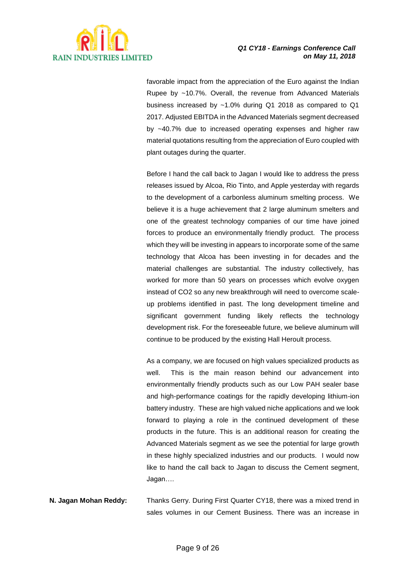

favorable impact from the appreciation of the Euro against the Indian Rupee by ~10.7%. Overall, the revenue from Advanced Materials business increased by ~1.0% during Q1 2018 as compared to Q1 2017. Adjusted EBITDA in the Advanced Materials segment decreased by ~40.7% due to increased operating expenses and higher raw material quotations resulting from the appreciation of Euro coupled with plant outages during the quarter.

Before I hand the call back to Jagan I would like to address the press releases issued by Alcoa, Rio Tinto, and Apple yesterday with regards to the development of a carbonless aluminum smelting process. We believe it is a huge achievement that 2 large aluminum smelters and one of the greatest technology companies of our time have joined forces to produce an environmentally friendly product. The process which they will be investing in appears to incorporate some of the same technology that Alcoa has been investing in for decades and the material challenges are substantial. The industry collectively, has worked for more than 50 years on processes which evolve oxygen instead of CO2 so any new breakthrough will need to overcome scaleup problems identified in past. The long development timeline and significant government funding likely reflects the technology development risk. For the foreseeable future, we believe aluminum will continue to be produced by the existing Hall Heroult process.

As a company, we are focused on high values specialized products as well. This is the main reason behind our advancement into environmentally friendly products such as our Low PAH sealer base and high-performance coatings for the rapidly developing lithium-ion battery industry. These are high valued niche applications and we look forward to playing a role in the continued development of these products in the future. This is an additional reason for creating the Advanced Materials segment as we see the potential for large growth in these highly specialized industries and our products. I would now like to hand the call back to Jagan to discuss the Cement segment, Jagan….

**N. Jagan Mohan Reddy:** Thanks Gerry. During First Quarter CY18, there was a mixed trend in sales volumes in our Cement Business. There was an increase in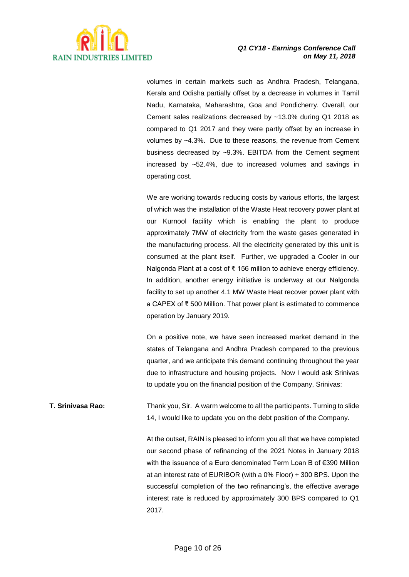

volumes in certain markets such as Andhra Pradesh, Telangana, Kerala and Odisha partially offset by a decrease in volumes in Tamil Nadu, Karnataka, Maharashtra, Goa and Pondicherry. Overall, our Cement sales realizations decreased by ~13.0% during Q1 2018 as compared to Q1 2017 and they were partly offset by an increase in volumes by ~4.3%. Due to these reasons, the revenue from Cement business decreased by ~9.3%. EBITDA from the Cement segment increased by ~52.4%, due to increased volumes and savings in operating cost.

We are working towards reducing costs by various efforts, the largest of which was the installation of the Waste Heat recovery power plant at our Kurnool facility which is enabling the plant to produce approximately 7MW of electricity from the waste gases generated in the manufacturing process. All the electricity generated by this unit is consumed at the plant itself. Further, we upgraded a Cooler in our Nalgonda Plant at a cost of ₹ 156 million to achieve energy efficiency. In addition, another energy initiative is underway at our Nalgonda facility to set up another 4.1 MW Waste Heat recover power plant with a CAPEX of ₹ 500 Million. That power plant is estimated to commence operation by January 2019.

On a positive note, we have seen increased market demand in the states of Telangana and Andhra Pradesh compared to the previous quarter, and we anticipate this demand continuing throughout the year due to infrastructure and housing projects. Now I would ask Srinivas to update you on the financial position of the Company, Srinivas:

**T. Srinivasa Rao:** Thank you, Sir. A warm welcome to all the participants. Turning to slide 14, I would like to update you on the debt position of the Company.

> At the outset, RAIN is pleased to inform you all that we have completed our second phase of refinancing of the 2021 Notes in January 2018 with the issuance of a Euro denominated Term Loan B of €390 Million at an interest rate of EURIBOR (with a 0% Floor) + 300 BPS. Upon the successful completion of the two refinancing's, the effective average interest rate is reduced by approximately 300 BPS compared to Q1 2017.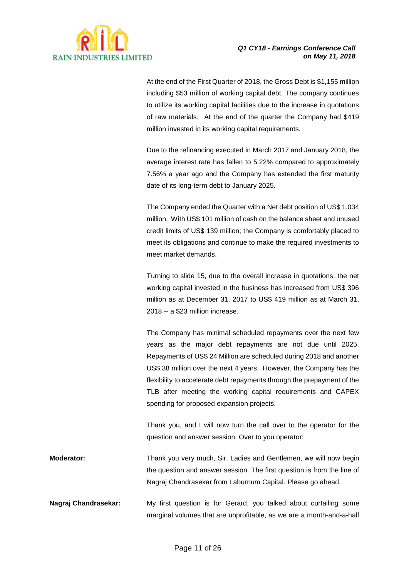

At the end of the First Quarter of 2018, the Gross Debt is \$1,155 million including \$53 million of working capital debt. The company continues to utilize its working capital facilities due to the increase in quotations of raw materials. At the end of the quarter the Company had \$419 million invested in its working capital requirements.

Due to the refinancing executed in March 2017 and January 2018, the average interest rate has fallen to 5.22% compared to approximately 7.56% a year ago and the Company has extended the first maturity date of its long-term debt to January 2025.

The Company ended the Quarter with a Net debt position of US\$ 1,034 million. With US\$ 101 million of cash on the balance sheet and unused credit limits of US\$ 139 million; the Company is comfortably placed to meet its obligations and continue to make the required investments to meet market demands.

Turning to slide 15, due to the overall increase in quotations, the net working capital invested in the business has increased from US\$ 396 million as at December 31, 2017 to US\$ 419 million as at March 31, 2018 -- a \$23 million increase.

The Company has minimal scheduled repayments over the next few years as the major debt repayments are not due until 2025. Repayments of US\$ 24 Million are scheduled during 2018 and another US\$ 38 million over the next 4 years. However, the Company has the flexibility to accelerate debt repayments through the prepayment of the TLB after meeting the working capital requirements and CAPEX spending for proposed expansion projects.

Thank you, and I will now turn the call over to the operator for the question and answer session. Over to you operator:

**Moderator:** Thank you very much, Sir. Ladies and Gentlemen, we will now begin the question and answer session. The first question is from the line of Nagraj Chandrasekar from Laburnum Capital. Please go ahead.

**Nagraj Chandrasekar:** My first question is for Gerard, you talked about curtailing some marginal volumes that are unprofitable, as we are a month-and-a-half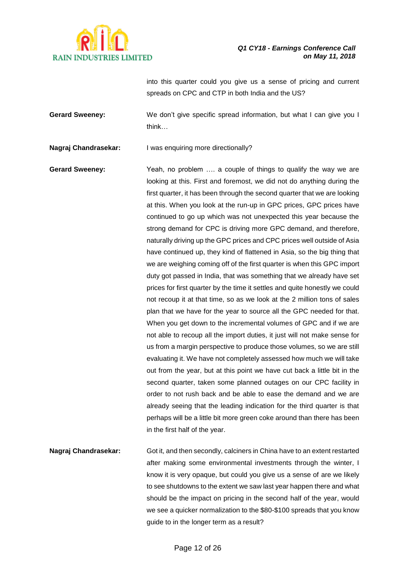

into this quarter could you give us a sense of pricing and current spreads on CPC and CTP in both India and the US?

**Gerard Sweeney:** We don't give specific spread information, but what I can give you I think…

**Nagraj Chandrasekar:** I was enquiring more directionally?

**Gerard Sweeney:** Yeah, no problem …. a couple of things to qualify the way we are looking at this. First and foremost, we did not do anything during the first quarter, it has been through the second quarter that we are looking at this. When you look at the run-up in GPC prices, GPC prices have continued to go up which was not unexpected this year because the strong demand for CPC is driving more GPC demand, and therefore, naturally driving up the GPC prices and CPC prices well outside of Asia have continued up, they kind of flattened in Asia, so the big thing that we are weighing coming off of the first quarter is when this GPC import duty got passed in India, that was something that we already have set prices for first quarter by the time it settles and quite honestly we could not recoup it at that time, so as we look at the 2 million tons of sales plan that we have for the year to source all the GPC needed for that. When you get down to the incremental volumes of GPC and if we are not able to recoup all the import duties, it just will not make sense for us from a margin perspective to produce those volumes, so we are still evaluating it. We have not completely assessed how much we will take out from the year, but at this point we have cut back a little bit in the second quarter, taken some planned outages on our CPC facility in order to not rush back and be able to ease the demand and we are already seeing that the leading indication for the third quarter is that perhaps will be a little bit more green coke around than there has been in the first half of the year.

**Nagraj Chandrasekar:** Got it, and then secondly, calciners in China have to an extent restarted after making some environmental investments through the winter, I know it is very opaque, but could you give us a sense of are we likely to see shutdowns to the extent we saw last year happen there and what should be the impact on pricing in the second half of the year, would we see a quicker normalization to the \$80-\$100 spreads that you know guide to in the longer term as a result?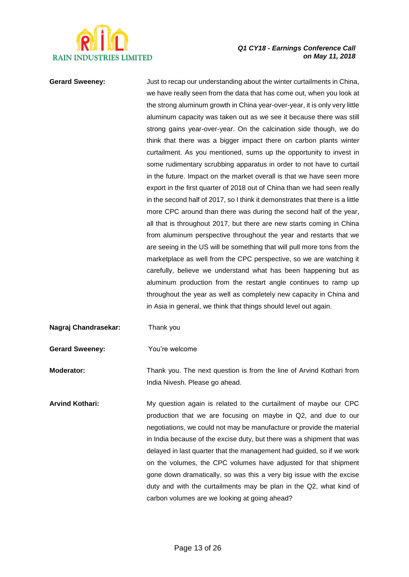

**Gerard Sweeney:** Just to recap our understanding about the winter curtailments in China, we have really seen from the data that has come out, when you look at the strong aluminum growth in China year-over-year, it is only very little aluminum capacity was taken out as we see it because there was still strong gains year-over-year. On the calcination side though, we do think that there was a bigger impact there on carbon plants winter curtailment. As you mentioned, sums up the opportunity to invest in some rudimentary scrubbing apparatus in order to not have to curtail in the future. Impact on the market overall is that we have seen more export in the first quarter of 2018 out of China than we had seen really in the second half of 2017, so I think it demonstrates that there is a little more CPC around than there was during the second half of the year, all that is throughout 2017, but there are new starts coming in China from aluminum perspective throughout the year and restarts that we are seeing in the US will be something that will pull more tons from the marketplace as well from the CPC perspective, so we are watching it carefully, believe we understand what has been happening but as aluminum production from the restart angle continues to ramp up throughout the year as well as completely new capacity in China and in Asia in general, we think that things should level out again.

**Nagraj Chandrasekar:** Thank you

**Gerard Sweeney:** You're welcome

**Moderator:** Thank you. The next question is from the line of Arvind Kothari from India Nivesh. Please go ahead.

**Arvind Kothari:** My question again is related to the curtailment of maybe our CPC production that we are focusing on maybe in Q2, and due to our negotiations, we could not may be manufacture or provide the material in India because of the excise duty, but there was a shipment that was delayed in last quarter that the management had guided, so if we work on the volumes, the CPC volumes have adjusted for that shipment gone down dramatically, so was this a very big issue with the excise duty and with the curtailments may be plan in the Q2, what kind of carbon volumes are we looking at going ahead?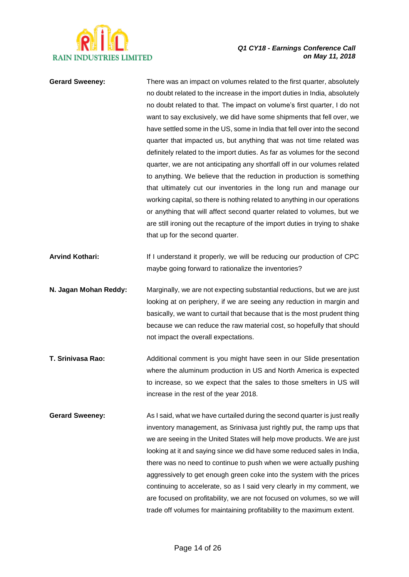

| <b>Gerard Sweeney:</b> | There was an impact on volumes related to the first quarter, absolutely<br>no doubt related to the increase in the import duties in India, absolutely<br>no doubt related to that. The impact on volume's first quarter, I do not<br>want to say exclusively, we did have some shipments that fell over, we<br>have settled some in the US, some in India that fell over into the second<br>quarter that impacted us, but anything that was not time related was<br>definitely related to the import duties. As far as volumes for the second<br>quarter, we are not anticipating any shortfall off in our volumes related<br>to anything. We believe that the reduction in production is something<br>that ultimately cut our inventories in the long run and manage our<br>working capital, so there is nothing related to anything in our operations<br>or anything that will affect second quarter related to volumes, but we<br>are still ironing out the recapture of the import duties in trying to shake<br>that up for the second quarter. |
|------------------------|-----------------------------------------------------------------------------------------------------------------------------------------------------------------------------------------------------------------------------------------------------------------------------------------------------------------------------------------------------------------------------------------------------------------------------------------------------------------------------------------------------------------------------------------------------------------------------------------------------------------------------------------------------------------------------------------------------------------------------------------------------------------------------------------------------------------------------------------------------------------------------------------------------------------------------------------------------------------------------------------------------------------------------------------------------|
| <b>Arvind Kothari:</b> | If I understand it properly, we will be reducing our production of CPC<br>maybe going forward to rationalize the inventories?                                                                                                                                                                                                                                                                                                                                                                                                                                                                                                                                                                                                                                                                                                                                                                                                                                                                                                                       |
| N. Jagan Mohan Reddy:  | Marginally, we are not expecting substantial reductions, but we are just<br>looking at on periphery, if we are seeing any reduction in margin and<br>basically, we want to curtail that because that is the most prudent thing<br>because we can reduce the raw material cost, so hopefully that should<br>not impact the overall expectations.                                                                                                                                                                                                                                                                                                                                                                                                                                                                                                                                                                                                                                                                                                     |
| T. Srinivasa Rao:      | Additional comment is you might have seen in our Slide presentation<br>where the aluminum production in US and North America is expected<br>to increase, so we expect that the sales to those smelters in US will<br>increase in the rest of the year 2018.                                                                                                                                                                                                                                                                                                                                                                                                                                                                                                                                                                                                                                                                                                                                                                                         |
| <b>Gerard Sweeney:</b> | As I said, what we have curtailed during the second quarter is just really<br>inventory management, as Srinivasa just rightly put, the ramp ups that<br>we are seeing in the United States will help move products. We are just<br>looking at it and saying since we did have some reduced sales in India,<br>there was no need to continue to push when we were actually pushing<br>aggressively to get enough green coke into the system with the prices<br>continuing to accelerate, so as I said very clearly in my comment, we<br>are focused on profitability, we are not focused on volumes, so we will<br>trade off volumes for maintaining profitability to the maximum extent.                                                                                                                                                                                                                                                                                                                                                            |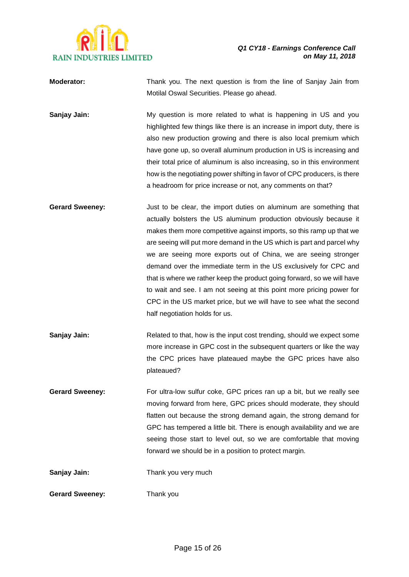

| <b>Moderator:</b> | Thank you. The next question is from the line of Sanjay Jain from |  |  |  |  |  |
|-------------------|-------------------------------------------------------------------|--|--|--|--|--|
|                   | Motilal Oswal Securities. Please go ahead.                        |  |  |  |  |  |

**Sanjay Jain:** My question is more related to what is happening in US and you highlighted few things like there is an increase in import duty, there is also new production growing and there is also local premium which have gone up, so overall aluminum production in US is increasing and their total price of aluminum is also increasing, so in this environment how is the negotiating power shifting in favor of CPC producers, is there a headroom for price increase or not, any comments on that?

**Gerard Sweeney:** Just to be clear, the import duties on aluminum are something that actually bolsters the US aluminum production obviously because it makes them more competitive against imports, so this ramp up that we are seeing will put more demand in the US which is part and parcel why we are seeing more exports out of China, we are seeing stronger demand over the immediate term in the US exclusively for CPC and that is where we rather keep the product going forward, so we will have to wait and see. I am not seeing at this point more pricing power for CPC in the US market price, but we will have to see what the second half negotiation holds for us.

**Sanjay Jain:** Related to that, how is the input cost trending, should we expect some more increase in GPC cost in the subsequent quarters or like the way the CPC prices have plateaued maybe the GPC prices have also plateaued?

**Gerard Sweeney:** For ultra-low sulfur coke, GPC prices ran up a bit, but we really see moving forward from here, GPC prices should moderate, they should flatten out because the strong demand again, the strong demand for GPC has tempered a little bit. There is enough availability and we are seeing those start to level out, so we are comfortable that moving forward we should be in a position to protect margin.

**Sanjay Jain:** Thank you very much

**Gerard Sweeney:** Thank you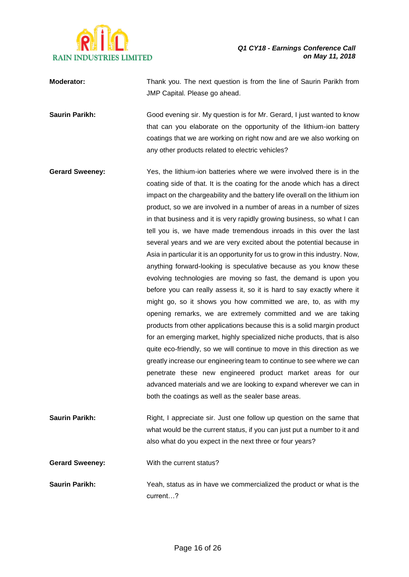

| <b>Moderator:</b>     | Thank you. The next question is from the line of Saurin Parikh from<br>JMP Capital. Please go ahead. |
|-----------------------|------------------------------------------------------------------------------------------------------|
| <b>Saurin Parikh:</b> | Good evening sir. My question is for Mr. Gerard, I just wanted to know                               |

that can you elaborate on the opportunity of the lithium-ion battery coatings that we are working on right now and are we also working on any other products related to electric vehicles?

**Gerard Sweeney:** Yes, the lithium-ion batteries where we were involved there is in the coating side of that. It is the coating for the anode which has a direct impact on the chargeability and the battery life overall on the lithium ion product, so we are involved in a number of areas in a number of sizes in that business and it is very rapidly growing business, so what I can tell you is, we have made tremendous inroads in this over the last several years and we are very excited about the potential because in Asia in particular it is an opportunity for us to grow in this industry. Now, anything forward-looking is speculative because as you know these evolving technologies are moving so fast, the demand is upon you before you can really assess it, so it is hard to say exactly where it might go, so it shows you how committed we are, to, as with my opening remarks, we are extremely committed and we are taking products from other applications because this is a solid margin product for an emerging market, highly specialized niche products, that is also quite eco-friendly, so we will continue to move in this direction as we greatly increase our engineering team to continue to see where we can penetrate these new engineered product market areas for our advanced materials and we are looking to expand wherever we can in both the coatings as well as the sealer base areas.

**Saurin Parikh:** Right, I appreciate sir. Just one follow up question on the same that what would be the current status, if you can just put a number to it and also what do you expect in the next three or four years?

**Gerard Sweeney:** With the current status?

**Saurin Parikh:** Yeah, status as in have we commercialized the product or what is the current…?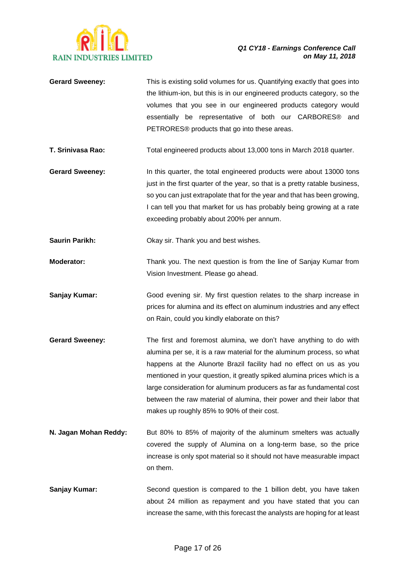

- **Gerard Sweeney:** This is existing solid volumes for us. Quantifying exactly that goes into the lithium-ion, but this is in our engineered products category, so the volumes that you see in our engineered products category would essentially be representative of both our CARBORES® and PETRORES® products that go into these areas. **T. Srinivasa Rao:** Total engineered products about 13,000 tons in March 2018 quarter. Gerard Sweeney: In this quarter, the total engineered products were about 13000 tons
- just in the first quarter of the year, so that is a pretty ratable business, so you can just extrapolate that for the year and that has been growing, I can tell you that market for us has probably being growing at a rate exceeding probably about 200% per annum.

**Saurin Parikh:** Okay sir. Thank you and best wishes.

- **Moderator:** Thank you. The next question is from the line of Sanjay Kumar from Vision Investment. Please go ahead.
- **Sanjay Kumar:** Good evening sir. My first question relates to the sharp increase in prices for alumina and its effect on aluminum industries and any effect on Rain, could you kindly elaborate on this?
- **Gerard Sweeney:** The first and foremost alumina, we don't have anything to do with alumina per se, it is a raw material for the aluminum process, so what happens at the Alunorte Brazil facility had no effect on us as you mentioned in your question, it greatly spiked alumina prices which is a large consideration for aluminum producers as far as fundamental cost between the raw material of alumina, their power and their labor that makes up roughly 85% to 90% of their cost.
- **N. Jagan Mohan Reddy:** But 80% to 85% of majority of the aluminum smelters was actually covered the supply of Alumina on a long-term base, so the price increase is only spot material so it should not have measurable impact on them.
- **Sanjay Kumar:** Second question is compared to the 1 billion debt, you have taken about 24 million as repayment and you have stated that you can increase the same, with this forecast the analysts are hoping for at least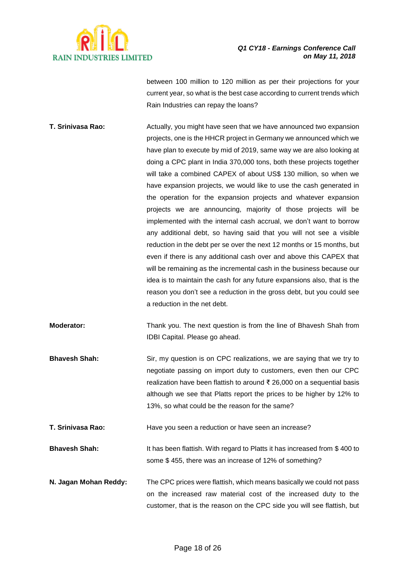

between 100 million to 120 million as per their projections for your current year, so what is the best case according to current trends which Rain Industries can repay the loans?

- **T. Srinivasa Rao:** Actually, you might have seen that we have announced two expansion projects, one is the HHCR project in Germany we announced which we have plan to execute by mid of 2019, same way we are also looking at doing a CPC plant in India 370,000 tons, both these projects together will take a combined CAPEX of about US\$ 130 million, so when we have expansion projects, we would like to use the cash generated in the operation for the expansion projects and whatever expansion projects we are announcing, majority of those projects will be implemented with the internal cash accrual, we don't want to borrow any additional debt, so having said that you will not see a visible reduction in the debt per se over the next 12 months or 15 months, but even if there is any additional cash over and above this CAPEX that will be remaining as the incremental cash in the business because our idea is to maintain the cash for any future expansions also, that is the reason you don't see a reduction in the gross debt, but you could see a reduction in the net debt.
- **Moderator:** Thank you. The next question is from the line of Bhavesh Shah from IDBI Capital. Please go ahead.
- **Bhavesh Shah:** Sir, my question is on CPC realizations, we are saying that we try to negotiate passing on import duty to customers, even then our CPC realization have been flattish to around ₹ 26,000 on a sequential basis although we see that Platts report the prices to be higher by 12% to 13%, so what could be the reason for the same?
- **T. Srinivasa Rao:** Have you seen a reduction or have seen an increase?
- **Bhavesh Shah:** It has been flattish. With regard to Platts it has increased from \$ 400 to some \$ 455, there was an increase of 12% of something?
- **N. Jagan Mohan Reddy:** The CPC prices were flattish, which means basically we could not pass on the increased raw material cost of the increased duty to the customer, that is the reason on the CPC side you will see flattish, but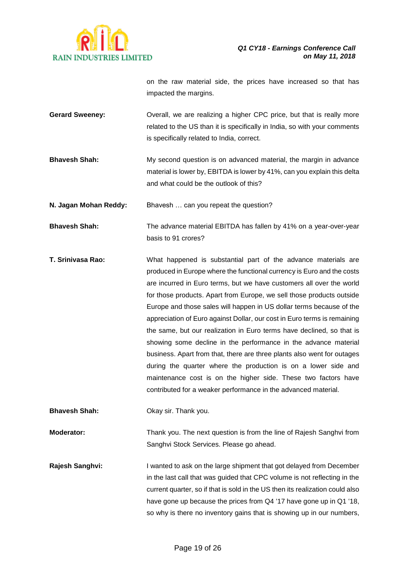

on the raw material side, the prices have increased so that has impacted the margins.

- **Gerard Sweeney:** Overall, we are realizing a higher CPC price, but that is really more related to the US than it is specifically in India, so with your comments is specifically related to India, correct.
- **Bhavesh Shah:** My second question is on advanced material, the margin in advance material is lower by, EBITDA is lower by 41%, can you explain this delta and what could be the outlook of this?

**N. Jagan Mohan Reddy:** Bhavesh … can you repeat the question?

**Bhavesh Shah:** The advance material EBITDA has fallen by 41% on a year-over-year basis to 91 crores?

**T. Srinivasa Rao:** What happened is substantial part of the advance materials are produced in Europe where the functional currency is Euro and the costs are incurred in Euro terms, but we have customers all over the world for those products. Apart from Europe, we sell those products outside Europe and those sales will happen in US dollar terms because of the appreciation of Euro against Dollar, our cost in Euro terms is remaining the same, but our realization in Euro terms have declined, so that is showing some decline in the performance in the advance material business. Apart from that, there are three plants also went for outages during the quarter where the production is on a lower side and maintenance cost is on the higher side. These two factors have contributed for a weaker performance in the advanced material.

**Bhavesh Shah:** Okay sir. Thank you.

**Moderator:** Thank you. The next question is from the line of Rajesh Sanghvi from Sanghvi Stock Services. Please go ahead.

**Rajesh Sanghvi:** I wanted to ask on the large shipment that got delayed from December in the last call that was guided that CPC volume is not reflecting in the current quarter, so if that is sold in the US then its realization could also have gone up because the prices from Q4 '17 have gone up in Q1 '18, so why is there no inventory gains that is showing up in our numbers,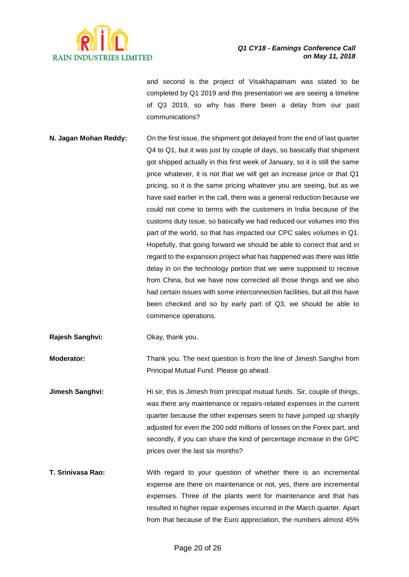

and second is the project of Visakhapatnam was stated to be completed by Q1 2019 and this presentation we are seeing a timeline of Q3 2019, so why has there been a delay from our past communications?

- **N. Jagan Mohan Reddy:** On the first issue, the shipment got delayed from the end of last quarter Q4 to Q1, but it was just by couple of days, so basically that shipment got shipped actually in this first week of January, so it is still the same price whatever, it is not that we will get an increase price or that Q1 pricing, so it is the same pricing whatever you are seeing, but as we have said earlier in the call, there was a general reduction because we could not come to terms with the customers in India because of the customs duty issue, so basically we had reduced our volumes into this part of the world, so that has impacted our CPC sales volumes in Q1. Hopefully, that going forward we should be able to correct that and in regard to the expansion project what has happened was there was little delay in on the technology portion that we were supposed to receive from China, but we have now corrected all those things and we also had certain issues with some interconnection facilities, but all this have been checked and so by early part of Q3, we should be able to commence operations.
- **Rajesh Sanghvi:** Okay, thank you.

**Moderator:** Thank you. The next question is from the line of Jimesh Sanghvi from Principal Mutual Fund. Please go ahead.

**Jimesh Sanghvi:** Hi sir, this is Jimesh from principal mutual funds. Sir, couple of things, was there any maintenance or repairs-related expenses in the current quarter because the other expenses seem to have jumped up sharply adjusted for even the 200 odd millions of losses on the Forex part, and secondly, if you can share the kind of percentage increase in the GPC prices over the last six months?

**T. Srinivasa Rao:** With regard to your question of whether there is an incremental expense are there on maintenance or not, yes, there are incremental expenses. Three of the plants went for maintenance and that has resulted in higher repair expenses incurred in the March quarter. Apart from that because of the Euro appreciation, the numbers almost 45%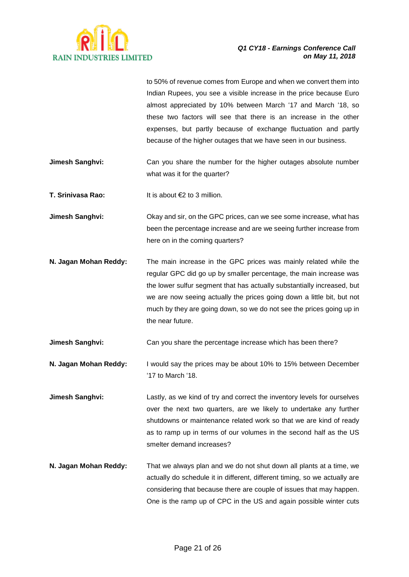

to 50% of revenue comes from Europe and when we convert them into Indian Rupees, you see a visible increase in the price because Euro almost appreciated by 10% between March '17 and March '18, so these two factors will see that there is an increase in the other expenses, but partly because of exchange fluctuation and partly because of the higher outages that we have seen in our business.

**Jimesh Sanghvi:** Can you share the number for the higher outages absolute number what was it for the quarter?

**T. Srinivasa Rao:** It is about €2 to 3 million.

- **Jimesh Sanghvi:** Okay and sir, on the GPC prices, can we see some increase, what has been the percentage increase and are we seeing further increase from here on in the coming quarters?
- **N. Jagan Mohan Reddy:** The main increase in the GPC prices was mainly related while the regular GPC did go up by smaller percentage, the main increase was the lower sulfur segment that has actually substantially increased, but we are now seeing actually the prices going down a little bit, but not much by they are going down, so we do not see the prices going up in the near future.

**Jimesh Sanghvi:** Can you share the percentage increase which has been there?

- **N. Jagan Mohan Reddy:** I would say the prices may be about 10% to 15% between December '17 to March '18.
- **Jimesh Sanghvi:** Lastly, as we kind of try and correct the inventory levels for ourselves over the next two quarters, are we likely to undertake any further shutdowns or maintenance related work so that we are kind of ready as to ramp up in terms of our volumes in the second half as the US smelter demand increases?
- **N. Jagan Mohan Reddy:** That we always plan and we do not shut down all plants at a time, we actually do schedule it in different, different timing, so we actually are considering that because there are couple of issues that may happen. One is the ramp up of CPC in the US and again possible winter cuts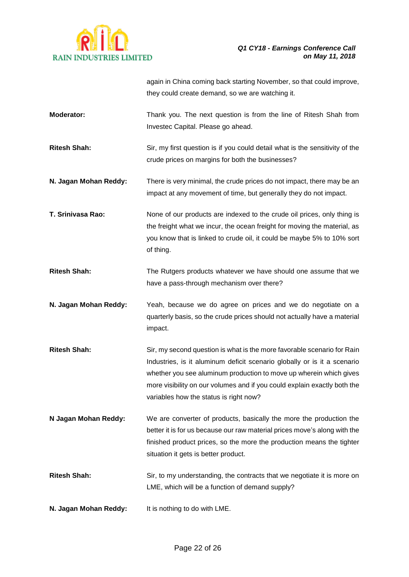

|                       | again in China coming back starting November, so that could improve,<br>they could create demand, so we are watching it.                                                                                                                                                                                                                        |
|-----------------------|-------------------------------------------------------------------------------------------------------------------------------------------------------------------------------------------------------------------------------------------------------------------------------------------------------------------------------------------------|
| Moderator:            | Thank you. The next question is from the line of Ritesh Shah from<br>Investec Capital. Please go ahead.                                                                                                                                                                                                                                         |
| <b>Ritesh Shah:</b>   | Sir, my first question is if you could detail what is the sensitivity of the<br>crude prices on margins for both the businesses?                                                                                                                                                                                                                |
| N. Jagan Mohan Reddy: | There is very minimal, the crude prices do not impact, there may be an<br>impact at any movement of time, but generally they do not impact.                                                                                                                                                                                                     |
| T. Srinivasa Rao:     | None of our products are indexed to the crude oil prices, only thing is<br>the freight what we incur, the ocean freight for moving the material, as<br>you know that is linked to crude oil, it could be maybe 5% to 10% sort<br>of thing.                                                                                                      |
| <b>Ritesh Shah:</b>   | The Rutgers products whatever we have should one assume that we<br>have a pass-through mechanism over there?                                                                                                                                                                                                                                    |
| N. Jagan Mohan Reddy: | Yeah, because we do agree on prices and we do negotiate on a<br>quarterly basis, so the crude prices should not actually have a material<br>impact.                                                                                                                                                                                             |
| <b>Ritesh Shah:</b>   | Sir, my second question is what is the more favorable scenario for Rain<br>Industries, is it aluminum deficit scenario globally or is it a scenario<br>whether you see aluminum production to move up wherein which gives<br>more visibility on our volumes and if you could explain exactly both the<br>variables how the status is right now? |
| N Jagan Mohan Reddy:  | We are converter of products, basically the more the production the<br>better it is for us because our raw material prices move's along with the<br>finished product prices, so the more the production means the tighter<br>situation it gets is better product.                                                                               |
| <b>Ritesh Shah:</b>   | Sir, to my understanding, the contracts that we negotiate it is more on<br>LME, which will be a function of demand supply?                                                                                                                                                                                                                      |
| N. Jagan Mohan Reddy: | It is nothing to do with LME.                                                                                                                                                                                                                                                                                                                   |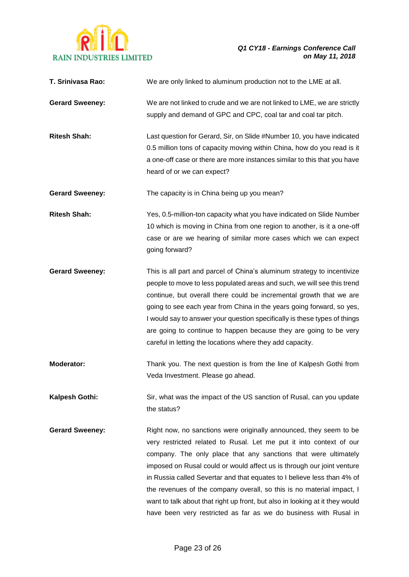

| T. Srinivasa Rao:      | We are only linked to aluminum production not to the LME at all.                                                                                                                                                                                                                                                                                                                                                                                                                                                                                                                               |
|------------------------|------------------------------------------------------------------------------------------------------------------------------------------------------------------------------------------------------------------------------------------------------------------------------------------------------------------------------------------------------------------------------------------------------------------------------------------------------------------------------------------------------------------------------------------------------------------------------------------------|
| <b>Gerard Sweeney:</b> | We are not linked to crude and we are not linked to LME, we are strictly<br>supply and demand of GPC and CPC, coal tar and coal tar pitch.                                                                                                                                                                                                                                                                                                                                                                                                                                                     |
| <b>Ritesh Shah:</b>    | Last question for Gerard, Sir, on Slide #Number 10, you have indicated<br>0.5 million tons of capacity moving within China, how do you read is it<br>a one-off case or there are more instances similar to this that you have<br>heard of or we can expect?                                                                                                                                                                                                                                                                                                                                    |
| <b>Gerard Sweeney:</b> | The capacity is in China being up you mean?                                                                                                                                                                                                                                                                                                                                                                                                                                                                                                                                                    |
| <b>Ritesh Shah:</b>    | Yes, 0.5-million-ton capacity what you have indicated on Slide Number<br>10 which is moving in China from one region to another, is it a one-off<br>case or are we hearing of similar more cases which we can expect<br>going forward?                                                                                                                                                                                                                                                                                                                                                         |
| <b>Gerard Sweeney:</b> | This is all part and parcel of China's aluminum strategy to incentivize<br>people to move to less populated areas and such, we will see this trend<br>continue, but overall there could be incremental growth that we are<br>going to see each year from China in the years going forward, so yes,<br>I would say to answer your question specifically is these types of things<br>are going to continue to happen because they are going to be very<br>careful in letting the locations where they add capacity.                                                                              |
| Moderator:             | Thank you. The next question is from the line of Kalpesh Gothi from<br>Veda Investment. Please go ahead.                                                                                                                                                                                                                                                                                                                                                                                                                                                                                       |
| Kalpesh Gothi:         | Sir, what was the impact of the US sanction of Rusal, can you update<br>the status?                                                                                                                                                                                                                                                                                                                                                                                                                                                                                                            |
| <b>Gerard Sweeney:</b> | Right now, no sanctions were originally announced, they seem to be<br>very restricted related to Rusal. Let me put it into context of our<br>company. The only place that any sanctions that were ultimately<br>imposed on Rusal could or would affect us is through our joint venture<br>in Russia called Severtar and that equates to I believe less than 4% of<br>the revenues of the company overall, so this is no material impact, I<br>want to talk about that right up front, but also in looking at it they would<br>have been very restricted as far as we do business with Rusal in |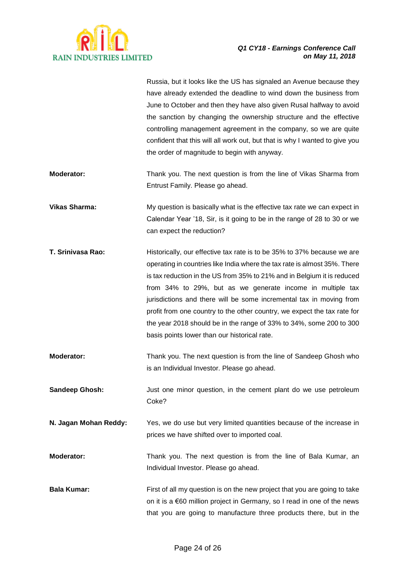

|                       | Russia, but it looks like the US has signaled an Avenue because they<br>have already extended the deadline to wind down the business from<br>June to October and then they have also given Rusal halfway to avoid<br>the sanction by changing the ownership structure and the effective<br>controlling management agreement in the company, so we are quite<br>confident that this will all work out, but that is why I wanted to give you<br>the order of magnitude to begin with anyway.                                                                              |
|-----------------------|-------------------------------------------------------------------------------------------------------------------------------------------------------------------------------------------------------------------------------------------------------------------------------------------------------------------------------------------------------------------------------------------------------------------------------------------------------------------------------------------------------------------------------------------------------------------------|
| Moderator:            | Thank you. The next question is from the line of Vikas Sharma from<br>Entrust Family. Please go ahead.                                                                                                                                                                                                                                                                                                                                                                                                                                                                  |
| <b>Vikas Sharma:</b>  | My question is basically what is the effective tax rate we can expect in<br>Calendar Year '18, Sir, is it going to be in the range of 28 to 30 or we<br>can expect the reduction?                                                                                                                                                                                                                                                                                                                                                                                       |
| T. Srinivasa Rao:     | Historically, our effective tax rate is to be 35% to 37% because we are<br>operating in countries like India where the tax rate is almost 35%. There<br>is tax reduction in the US from 35% to 21% and in Belgium it is reduced<br>from 34% to 29%, but as we generate income in multiple tax<br>jurisdictions and there will be some incremental tax in moving from<br>profit from one country to the other country, we expect the tax rate for<br>the year 2018 should be in the range of 33% to 34%, some 200 to 300<br>basis points lower than our historical rate. |
| Moderator:            | Thank you. The next question is from the line of Sandeep Ghosh who<br>is an Individual Investor. Please go ahead.                                                                                                                                                                                                                                                                                                                                                                                                                                                       |
| Sandeep Ghosh:        | Just one minor question, in the cement plant do we use petroleum<br>Coke?                                                                                                                                                                                                                                                                                                                                                                                                                                                                                               |
| N. Jagan Mohan Reddy: | Yes, we do use but very limited quantities because of the increase in<br>prices we have shifted over to imported coal.                                                                                                                                                                                                                                                                                                                                                                                                                                                  |
| Moderator:            | Thank you. The next question is from the line of Bala Kumar, an<br>Individual Investor. Please go ahead.                                                                                                                                                                                                                                                                                                                                                                                                                                                                |
| <b>Bala Kumar:</b>    | First of all my question is on the new project that you are going to take<br>on it is a $\epsilon$ 60 million project in Germany, so I read in one of the news<br>that you are going to manufacture three products there, but in the                                                                                                                                                                                                                                                                                                                                    |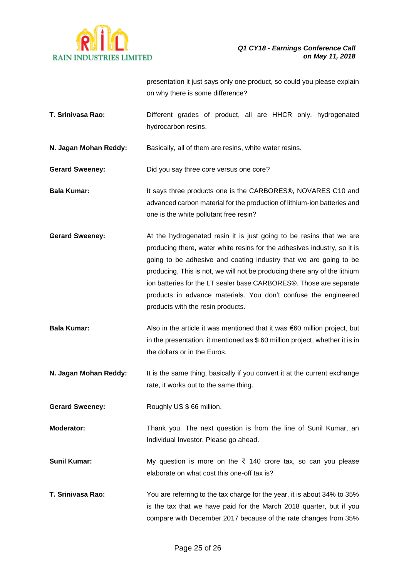

presentation it just says only one product, so could you please explain on why there is some difference?

**T. Srinivasa Rao:** Different grades of product, all are HHCR only, hydrogenated hydrocarbon resins.

**N. Jagan Mohan Reddy:** Basically, all of them are resins, white water resins.

- **Gerard Sweeney:** Did you say three core versus one core?
- **Bala Kumar:** It says three products one is the CARBORES®, NOVARES C10 and advanced carbon material for the production of lithium-ion batteries and one is the white pollutant free resin?
- **Gerard Sweeney:** At the hydrogenated resin it is just going to be resins that we are producing there, water white resins for the adhesives industry, so it is going to be adhesive and coating industry that we are going to be producing. This is not, we will not be producing there any of the lithium ion batteries for the LT sealer base CARBORES®. Those are separate products in advance materials. You don't confuse the engineered products with the resin products.
- **Bala Kumar:** Also in the article it was mentioned that it was €60 million project, but in the presentation, it mentioned as \$ 60 million project, whether it is in the dollars or in the Euros.
- **N. Jagan Mohan Reddy:** It is the same thing, basically if you convert it at the current exchange rate, it works out to the same thing.

Gerard Sweeney: Roughly US \$ 66 million.

- **Moderator:** Thank you. The next question is from the line of Sunil Kumar, an Individual Investor. Please go ahead.
- **Sunil Kumar:** My question is more on the ₹ 140 crore tax, so can you please elaborate on what cost this one-off tax is?
- **T. Srinivasa Rao:** You are referring to the tax charge for the year, it is about 34% to 35% is the tax that we have paid for the March 2018 quarter, but if you compare with December 2017 because of the rate changes from 35%